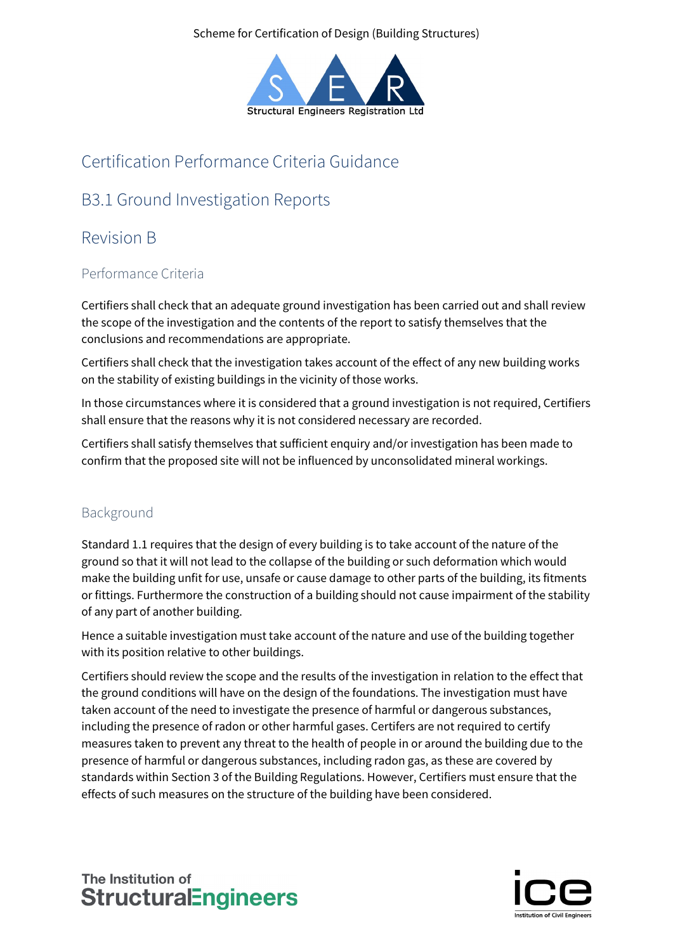Scheme for Certification of Design (Building Structures)



## Certification Performance Criteria Guidance

# B3.1 Ground Investigation Reports

## Revision B

### Performance Criteria

Certifiers shall check that an adequate ground investigation has been carried out and shall review the scope of the investigation and the contents of the report to satisfy themselves that the conclusions and recommendations are appropriate.

Certifiers shall check that the investigation takes account of the effect of any new building works on the stability of existing buildings in the vicinity of those works.

In those circumstances where it is considered that a ground investigation is not required, Certifiers shall ensure that the reasons why it is not considered necessary are recorded.

Certifiers shall satisfy themselves that sufficient enquiry and/or investigation has been made to confirm that the proposed site will not be influenced by unconsolidated mineral workings.

### Background

Standard 1.1 requires that the design of every building is to take account of the nature of the ground so that it will not lead to the collapse of the building or such deformation which would make the building unfit for use, unsafe or cause damage to other parts of the building, its fitments or fittings. Furthermore the construction of a building should not cause impairment of the stability of any part of another building.

Hence a suitable investigation must take account of the nature and use of the building together with its position relative to other buildings.

Certifiers should review the scope and the results of the investigation in relation to the effect that the ground conditions will have on the design of the foundations. The investigation must have taken account of the need to investigate the presence of harmful or dangerous substances, including the presence of radon or other harmful gases. Certifers are not required to certify measures taken to prevent any threat to the health of people in or around the building due to the presence of harmful or dangerous substances, including radon gas, as these are covered by standards within Section 3 of the Building Regulations. However, Certifiers must ensure that the effects of such measures on the structure of the building have been considered.

### The Institution of **StructuralEngineers**

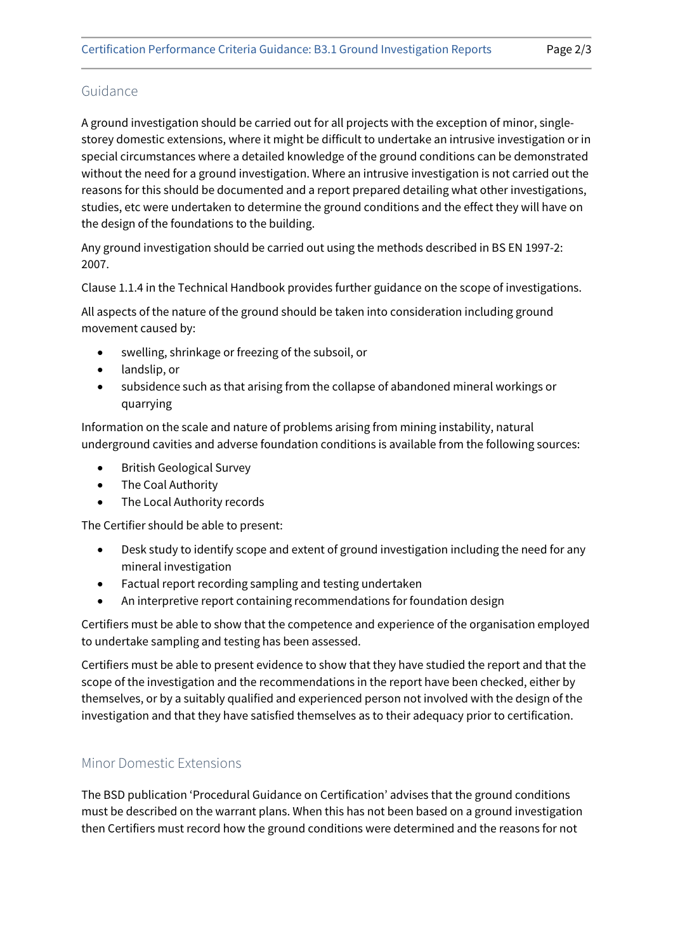### Guidance

A ground investigation should be carried out for all projects with the exception of minor, singlestorey domestic extensions, where it might be difficult to undertake an intrusive investigation or in special circumstances where a detailed knowledge of the ground conditions can be demonstrated without the need for a ground investigation. Where an intrusive investigation is not carried out the reasons for this should be documented and a report prepared detailing what other investigations, studies, etc were undertaken to determine the ground conditions and the effect they will have on the design of the foundations to the building.

Any ground investigation should be carried out using the methods described in BS EN 1997-2: 2007.

Clause 1.1.4 in the Technical Handbook provides further guidance on the scope of investigations.

All aspects of the nature of the ground should be taken into consideration including ground movement caused by:

- swelling, shrinkage or freezing of the subsoil, or
- landslip, or
- subsidence such as that arising from the collapse of abandoned mineral workings or quarrying

Information on the scale and nature of problems arising from mining instability, natural underground cavities and adverse foundation conditions is available from the following sources:

- British Geological Survey
- The Coal Authority
- The Local Authority records

The Certifier should be able to present:

- Desk study to identify scope and extent of ground investigation including the need for any mineral investigation
- Factual report recording sampling and testing undertaken
- An interpretive report containing recommendations for foundation design

Certifiers must be able to show that the competence and experience of the organisation employed to undertake sampling and testing has been assessed.

Certifiers must be able to present evidence to show that they have studied the report and that the scope of the investigation and the recommendations in the report have been checked, either by themselves, or by a suitably qualified and experienced person not involved with the design of the investigation and that they have satisfied themselves as to their adequacy prior to certification.

### Minor Domestic Extensions

The BSD publication 'Procedural Guidance on Certification' advises that the ground conditions must be described on the warrant plans. When this has not been based on a ground investigation then Certifiers must record how the ground conditions were determined and the reasons for not